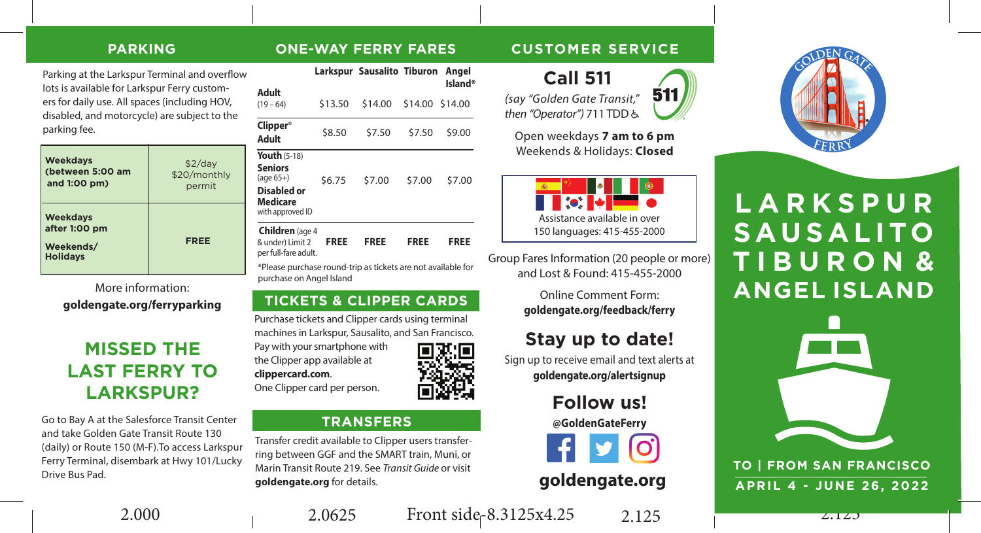Parking at the Larkspur Terminal and overflow lots is available for Larkspur Ferry customers for daily use. All spaces (including HOV, disabled, and motorcycle) are subject to the parking fee.

| <b>Weekdavs</b>                                           | $$2$ /day    |
|-----------------------------------------------------------|--------------|
| (between 5:00 am                                          | \$20/monthly |
| and 1:00 pm)                                              | permit       |
| Weekdays<br>after 1:00 pm<br>Weekends/<br><b>Holidavs</b> | <b>FREE</b>  |

More information: **goldengate.org/ferryparking**

## **MISSED THE LAST FERRY TO LARKSPUR?**

Go to Bay A at the Salesforce Transit Center and take Golden Gate Transit Route 130 (daily) or Route 150 (M-F).To access Larkspur Ferry Terminal, disembark at Hwy 101/Lucky Drive Bus Pad.

## **PARKING ONE-WAY FERRY FARES CUSTOMER SERVICE**

 **Larkspur Sausalito Tiburon Angel Adult Island\*** 

| Adult<br>$(19 - 64)$                                 | \$13.50 | \$14.00 | \$14.00 \$14.00 |        |
|------------------------------------------------------|---------|---------|-----------------|--------|
| <b>Clipper</b> ®<br>Adult                            | \$8.50  | \$7.50  | \$7.50          | \$9.00 |
| <b>Youth (5-18)</b><br><b>Seniors</b><br>$(aqe 65+)$ | \$6.75  | \$7.00  | \$7.00          | \$7.00 |
| <b>Disabled or</b><br>Medicare<br>with approved ID   |         |         |                 |        |
| Children (age 4                                      |         |         |                 |        |

& under) Limit 2 **FREE FREE FREE FREE**

\*Please purchase round-trip as tickets are not available for purchase on Angel Island

## **TICKETS & CLIPPER CARDS**

Purchase tickets and Clipper cards using terminal machines in Larkspur, Sausalito, and San Francisco.

Pay with your smartphone with the Clipper app available at **clippercard.com**. One Clipper card per person.

## **TRANSFERS**

Transfer credit available to Clipper users transferring between GGF and the SMART train, Muni, or Marin Transit Route 219. See *Transit Guide* or visit **goldengate.org** for details.



511 *(say "Golden Gate Transit," then "Operator")* 711 TDD

Open weekdays **7 am to 6 pm** Weekends & Holidays: **Closed**



Group Fares Information (20 people or more) and Lost & Found: 415-455-2000

> Online Comment Form: **goldengate.org/feedback/ferry**

## **Stay up to date!**

Sign up to receive email and text alerts at **goldengate.org/alertsignup** 

# **Follow us!**



# **goldengate.org**



# **LARKSPUR SAUSALITO T I B U R O N & ANGEL ISLAND**



2.000 2.0625 Front side-8.3125x4.25 2.125 2.125